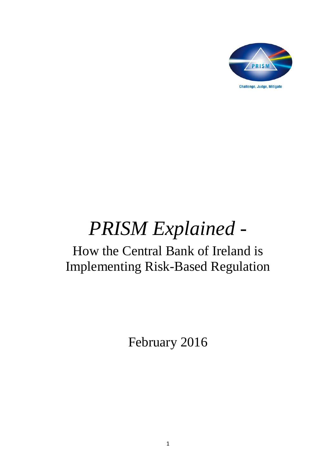

# *PRISM Explained -*

# How the Central Bank of Ireland is Implementing Risk-Based Regulation

February 2016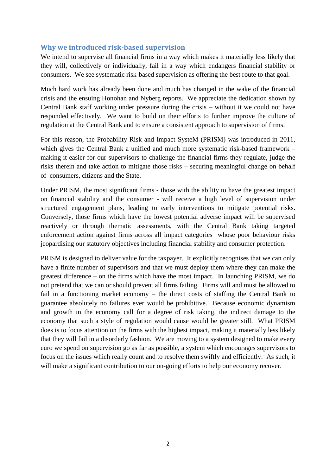# **Why we introduced risk-based supervision**

We intend to supervise all financial firms in a way which makes it materially less likely that they will, collectively or individually, fail in a way which endangers financial stability or consumers. We see systematic risk-based supervision as offering the best route to that goal.

Much hard work has already been done and much has changed in the wake of the financial crisis and the ensuing Honohan and Nyberg reports. We appreciate the dedication shown by Central Bank staff working under pressure during the crisis – without it we could not have responded effectively. We want to build on their efforts to further improve the culture of regulation at the Central Bank and to ensure a consistent approach to supervision of firms.

For this reason, the Probability Risk and Impact SysteM (PRISM) was introduced in 2011, which gives the Central Bank a unified and much more systematic risk-based framework – making it easier for our supervisors to challenge the financial firms they regulate, judge the risks therein and take action to mitigate those risks – securing meaningful change on behalf of consumers, citizens and the State.

Under PRISM, the most significant firms - those with the ability to have the greatest impact on financial stability and the consumer - will receive a high level of supervision under structured engagement plans, leading to early interventions to mitigate potential risks. Conversely, those firms which have the lowest potential adverse impact will be supervised reactively or through thematic assessments, with the Central Bank taking targeted enforcement action against firms across all impact categories whose poor behaviour risks jeopardising our statutory objectives including financial stability and consumer protection.

PRISM is designed to deliver value for the taxpayer. It explicitly recognises that we can only have a finite number of supervisors and that we must deploy them where they can make the greatest difference – on the firms which have the most impact. In launching PRISM, we do not pretend that we can or should prevent all firms failing. Firms will and must be allowed to fail in a functioning market economy – the direct costs of staffing the Central Bank to guarantee absolutely no failures ever would be prohibitive. Because economic dynamism and growth in the economy call for a degree of risk taking, the indirect damage to the economy that such a style of regulation would cause would be greater still. What PRISM does is to focus attention on the firms with the highest impact, making it materially less likely that they will fail in a disorderly fashion. We are moving to a system designed to make every euro we spend on supervision go as far as possible, a system which encourages supervisors to focus on the issues which really count and to resolve them swiftly and efficiently. As such, it will make a significant contribution to our on-going efforts to help our economy recover.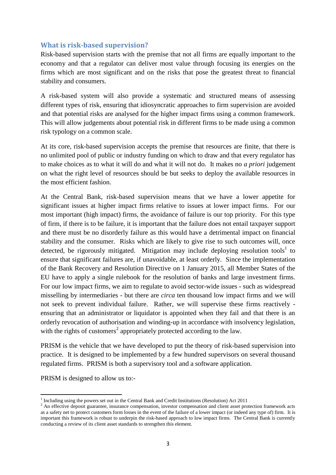# **What is risk-based supervision?**

Risk-based supervision starts with the premise that not all firms are equally important to the economy and that a regulator can deliver most value through focusing its energies on the firms which are most significant and on the risks that pose the greatest threat to financial stability and consumers.

A risk-based system will also provide a systematic and structured means of assessing different types of risk, ensuring that idiosyncratic approaches to firm supervision are avoided and that potential risks are analysed for the higher impact firms using a common framework. This will allow judgements about potential risk in different firms to be made using a common risk typology on a common scale.

At its core, risk-based supervision accepts the premise that resources are finite, that there is no unlimited pool of public or industry funding on which to draw and that every regulator has to make choices as to what it will do and what it will not do. It makes no *a priori* judgement on what the right level of resources should be but seeks to deploy the available resources in the most efficient fashion.

At the Central Bank, risk-based supervision means that we have a lower appetite for significant issues at higher impact firms relative to issues at lower impact firms. For our most important (high impact) firms, the avoidance of failure is our top priority. For this type of firm, if there is to be failure, it is important that the failure does not entail taxpayer support and there must be no disorderly failure as this would have a detrimental impact on financial stability and the consumer. Risks which are likely to give rise to such outcomes will, once detected, be rigorously mitigated. Mitigation may include deploying resolution tools<sup>1</sup> to ensure that significant failures are, if unavoidable, at least orderly. Since the implementation of the Bank Recovery and Resolution Directive on 1 January 2015, all Member States of the EU have to apply a single rulebook for the resolution of banks and large investment firms. For our low impact firms, we aim to regulate to avoid sector-wide issues - such as widespread misselling by intermediaries - but there are *circa* ten thousand low impact firms and we will not seek to prevent individual failure. Rather, we will supervise these firms reactively ensuring that an administrator or liquidator is appointed when they fail and that there is an orderly revocation of authorisation and winding-up in accordance with insolvency legislation, with the rights of customers<sup>2</sup> appropriately protected according to the law.

PRISM is the vehicle that we have developed to put the theory of risk-based supervision into practice. It is designed to be implemented by a few hundred supervisors on several thousand regulated firms. PRISM is both a supervisory tool and a software application.

PRISM is designed to allow us to:-

 $\overline{\phantom{a}}$ 

<sup>&</sup>lt;sup>1</sup> Including using the powers set out in the Central Bank and Credit Institutions (Resolution) Act 2011

<sup>&</sup>lt;sup>2</sup> An effective deposit guarantee, insurance compensation, investor compensation and client asset protection framework acts as a safety net to protect customers form losses in the event of the failure of a lower impact (or indeed any type of) firm. It is important this framework is robust to underpin the risk-based approach to low impact firms. The Central Bank is currently conducting a review of its client asset standards to strengthen this element.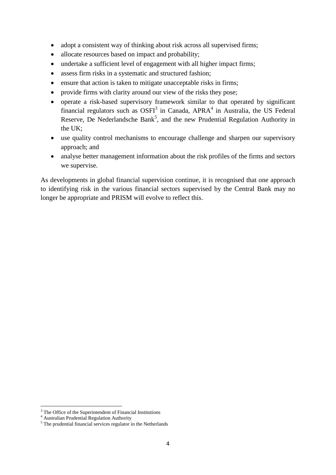- adopt a consistent way of thinking about risk across all supervised firms;
- allocate resources based on impact and probability;
- undertake a sufficient level of engagement with all higher impact firms;
- assess firm risks in a systematic and structured fashion;
- ensure that action is taken to mitigate unacceptable risks in firms;
- provide firms with clarity around our view of the risks they pose;
- operate a risk-based supervisory framework similar to that operated by significant financial regulators such as  $OSFI<sup>3</sup>$  in Canada, APRA<sup>4</sup> in Australia, the US Federal Reserve, De Nederlandsche Bank<sup>5</sup>, and the new Prudential Regulation Authority in the UK;
- use quality control mechanisms to encourage challenge and sharpen our supervisory approach; and
- analyse better management information about the risk profiles of the firms and sectors we supervise.

As developments in global financial supervision continue, it is recognised that one approach to identifying risk in the various financial sectors supervised by the Central Bank may no longer be appropriate and PRISM will evolve to reflect this.

**.** 

 $3$  The Office of the Superintendent of Financial Institutions

<sup>4</sup> Australian Prudential Regulation Authority

<sup>&</sup>lt;sup>5</sup> The prudential financial services regulator in the Netherlands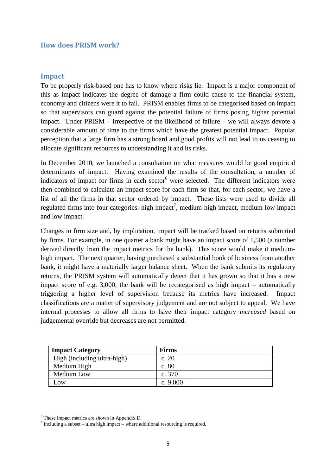#### **How does PRISM work?**

#### **Impact**

To be properly risk-based one has to know where risks lie. Impact is a major component of this as impact indicates the degree of damage a firm could cause to the financial system, economy and citizens were it to fail. PRISM enables firms to be categorised based on impact so that supervisors can guard against the potential failure of firms posing higher potential impact. Under PRISM – irrespective of the likelihood of failure – we will always devote a considerable amount of time to the firms which have the greatest potential impact. Popular perception that a large firm has a strong board and good profits will not lead to us ceasing to allocate significant resources to understanding it and its risks.

In December 2010, we launched a consultation on what measures would be good empirical determinants of impact. Having examined the results of the consultation, a number of indicators of impact for firms in each sector $<sup>6</sup>$  were selected. The different indicators were</sup> then combined to calculate an impact score for each firm so that, for each sector, we have a list of all the firms in that sector ordered by impact. These lists were used to divide all regulated firms into four categories: high impact<sup>7</sup>, medium-high impact, medium-low impact and low impact.

Changes in firm size and, by implication, impact will be tracked based on returns submitted by firms. For example, in one quarter a bank might have an impact score of 1,500 (a number derived directly from the impact metrics for the bank). This score would make it mediumhigh impact. The next quarter, having purchased a substantial book of business from another bank, it might have a materially larger balance sheet. When the bank submits its regulatory returns, the PRISM system will automatically detect that it has grown so that it has a new impact score of e.g. 3,000, the bank will be recategorised as high impact – automatically triggering a higher level of supervision because its metrics have increased. Impact classifications are a matter of supervisory judgement and are not subject to appeal. We have internal processes to allow all firms to have their impact category *increased* based on judgemental override but decreases are not permitted.

| <b>Impact Category</b>      | <b>Firms</b> |
|-----------------------------|--------------|
| High (including ultra-high) | c. 20        |
| Medium High                 | c. 80        |
| Medium Low                  | c. $370$     |
| $-0W$                       | c. $9,000$   |

 $\overline{\phantom{a}}$ <sup>6</sup> These impact metrics are shown in Appendix D.

 $\frac{7}{7}$  Including a subset – ultra high impact – where additional resourcing is required.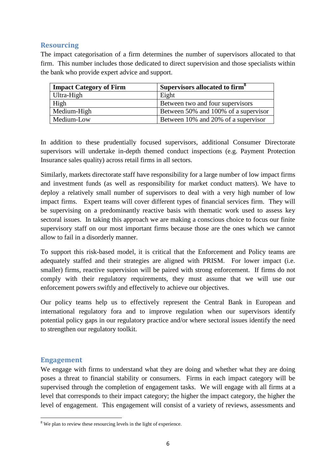# **Resourcing**

The impact categorisation of a firm determines the number of supervisors allocated to that firm. This number includes those dedicated to direct supervision and those specialists within the bank who provide expert advice and support.

| <b>Impact Category of Firm</b> | Supervisors allocated to firm <sup>8</sup> |
|--------------------------------|--------------------------------------------|
| Ultra-High                     | Eight                                      |
| High                           | Between two and four supervisors           |
| Medium-High                    | Between 50% and 100% of a supervisor       |
| Medium-Low                     | Between 10% and 20% of a supervisor        |

In addition to these prudentially focused supervisors, additional Consumer Directorate supervisors will undertake in-depth themed conduct inspections (e.g. Payment Protection Insurance sales quality) across retail firms in all sectors.

Similarly, markets directorate staff have responsibility for a large number of low impact firms and investment funds (as well as responsibility for market conduct matters). We have to deploy a relatively small number of supervisors to deal with a very high number of low impact firms. Expert teams will cover different types of financial services firm. They will be supervising on a predominantly reactive basis with thematic work used to assess key sectoral issues. In taking this approach we are making a conscious choice to focus our finite supervisory staff on our most important firms because those are the ones which we cannot allow to fail in a disorderly manner.

To support this risk-based model, it is critical that the Enforcement and Policy teams are adequately staffed and their strategies are aligned with PRISM. For lower impact (i.e. smaller) firms, reactive supervision will be paired with strong enforcement. If firms do not comply with their regulatory requirements, they must assume that we will use our enforcement powers swiftly and effectively to achieve our objectives.

Our policy teams help us to effectively represent the Central Bank in European and international regulatory fora and to improve regulation when our supervisors identify potential policy gaps in our regulatory practice and/or where sectoral issues identify the need to strengthen our regulatory toolkit.

## **Engagement**

We engage with firms to understand what they are doing and whether what they are doing poses a threat to financial stability or consumers. Firms in each impact category will be supervised through the completion of engagement tasks. We will engage with all firms at a level that corresponds to their impact category; the higher the impact category, the higher the level of engagement. This engagement will consist of a variety of reviews, assessments and

**<sup>.</sup>**  $8$  We plan to review these resourcing levels in the light of experience.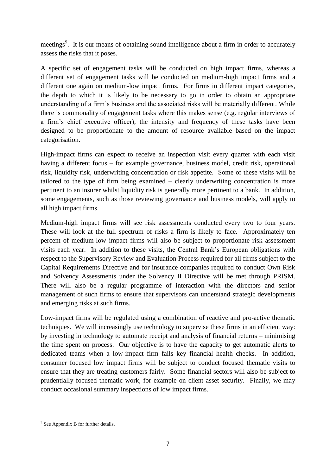meetings<sup>9</sup>. It is our means of obtaining sound intelligence about a firm in order to accurately assess the risks that it poses.

A specific set of engagement tasks will be conducted on high impact firms, whereas a different set of engagement tasks will be conducted on medium-high impact firms and a different one again on medium-low impact firms. For firms in different impact categories, the depth to which it is likely to be necessary to go in order to obtain an appropriate understanding of a firm's business and the associated risks will be materially different. While there is commonality of engagement tasks where this makes sense (e.g. regular interviews of a firm's chief executive officer), the intensity and frequency of these tasks have been designed to be proportionate to the amount of resource available based on the impact categorisation.

High-impact firms can expect to receive an inspection visit every quarter with each visit having a different focus – for example governance, business model, credit risk, operational risk, liquidity risk, underwriting concentration or risk appetite. Some of these visits will be tailored to the type of firm being examined – clearly underwriting concentration is more pertinent to an insurer whilst liquidity risk is generally more pertinent to a bank. In addition, some engagements, such as those reviewing governance and business models, will apply to all high impact firms.

Medium-high impact firms will see risk assessments conducted every two to four years. These will look at the full spectrum of risks a firm is likely to face. Approximately ten percent of medium-low impact firms will also be subject to proportionate risk assessment visits each year. In addition to these visits, the Central Bank's European obligations with respect to the Supervisory Review and Evaluation Process required for all firms subject to the Capital Requirements Directive and for insurance companies required to conduct Own Risk and Solvency Assessments under the Solvency II Directive will be met through PRISM. There will also be a regular programme of interaction with the directors and senior management of such firms to ensure that supervisors can understand strategic developments and emerging risks at such firms.

Low-impact firms will be regulated using a combination of reactive and pro-active thematic techniques. We will increasingly use technology to supervise these firms in an efficient way: by investing in technology to automate receipt and analysis of financial returns – minimising the time spent on process. Our objective is to have the capacity to get automatic alerts to dedicated teams when a low-impact firm fails key financial health checks. In addition, consumer focused low impact firms will be subject to conduct focused thematic visits to ensure that they are treating customers fairly. Some financial sectors will also be subject to prudentially focused thematic work, for example on client asset security. Finally, we may conduct occasional summary inspections of low impact firms.

**<sup>.</sup>** <sup>9</sup> See Appendix B for further details.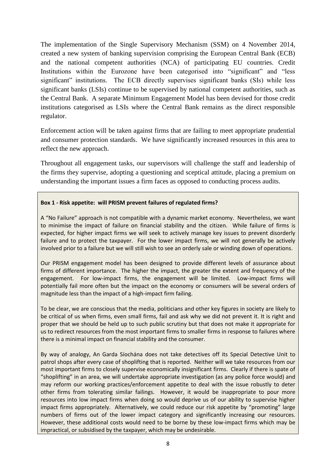The implementation of the Single Supervisory Mechanism (SSM) on 4 November 2014, created a new system of banking supervision comprising the European Central Bank (ECB) and the national competent authorities (NCA) of participating EU countries. Credit Institutions within the Eurozone have been categorised into "significant" and "less significant" institutions. The ECB directly supervises significant banks (SIs) while less significant banks (LSIs) continue to be supervised by national competent authorities, such as the Central Bank. A separate Minimum Engagement Model has been devised for those credit institutions categorised as LSIs where the Central Bank remains as the direct responsible regulator.

Enforcement action will be taken against firms that are failing to meet appropriate prudential and consumer protection standards. We have significantly increased resources in this area to reflect the new approach.

Throughout all engagement tasks, our supervisors will challenge the staff and leadership of the firms they supervise, adopting a questioning and sceptical attitude, placing a premium on understanding the important issues a firm faces as opposed to conducting process audits.

#### **Box 1 - Risk appetite: will PRISM prevent failures of regulated firms?**

A "No Failure" approach is not compatible with a dynamic market economy. Nevertheless, we want to minimise the impact of failure on financial stability and the citizen. While failure of firms is expected, for higher impact firms we will seek to actively manage key issues to prevent disorderly failure and to protect the taxpayer. For the lower impact firms, we will not generally be actively involved prior to a failure but we will still wish to see an orderly sale or winding down of operations.

Our PRISM engagement model has been designed to provide different levels of assurance about firms of different importance. The higher the impact, the greater the extent and frequency of the engagement. For low-impact firms, the engagement will be limited. Low-impact firms will potentially fail more often but the impact on the economy or consumers will be several orders of magnitude less than the impact of a high-impact firm failing.

To be clear, we are conscious that the media, politicians and other key figures in society are likely to be critical of us when firms, even small firms, fail and ask why we did not prevent it. It is right and proper that we should be held up to such public scrutiny but that does not make it appropriate for us to redirect resources from the most important firms to smaller firms in response to failures where there is a minimal impact on financial stability and the consumer.

By way of analogy, An Garda Síochána does not take detectives off its Special Detective Unit to patrol shops after every case of shoplifting that is reported. Neither will we take resources from our most important firms to closely supervise economically insignificant firms. Clearly if there is spate of "shoplifting" in an area, we will undertake appropriate investigation (as any police force would) and may reform our working practices/enforcement appetite to deal with the issue robustly to deter other firms from tolerating similar failings. However, it would be inappropriate to pour more resources into low impact firms when doing so would deprive us of our ability to supervise higher impact firms appropriately. Alternatively, we could reduce our risk appetite by "promoting" large numbers of firms out of the lower impact category and significantly increasing our resources. However, these additional costs would need to be borne by these low-impact firms which may be impractical, or subsidised by the taxpayer, which may be undesirable.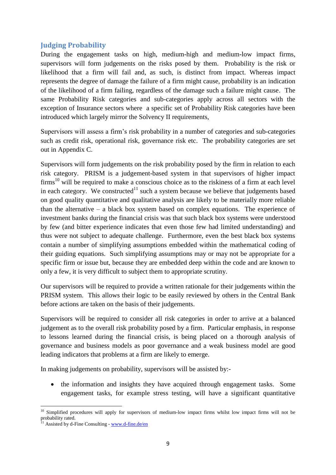# **Judging Probability**

During the engagement tasks on high, medium-high and medium-low impact firms, supervisors will form judgements on the risks posed by them. Probability is the risk or likelihood that a firm will fail and, as such, is distinct from impact. Whereas impact represents the degree of damage the failure of a firm might cause, probability is an indication of the likelihood of a firm failing, regardless of the damage such a failure might cause. The same Probability Risk categories and sub-categories apply across all sectors with the exception of Insurance sectors where a specific set of Probability Risk categories have been introduced which largely mirror the Solvency II requirements,

Supervisors will assess a firm's risk probability in a number of categories and sub-categories such as credit risk, operational risk, governance risk etc. The probability categories are set out in Appendix C.

Supervisors will form judgements on the risk probability posed by the firm in relation to each risk category. PRISM is a judgement-based system in that supervisors of higher impact  $firms<sup>10</sup>$  will be required to make a conscious choice as to the riskiness of a firm at each level in each category. We constructed<sup>11</sup> such a system because we believe that judgements based on good quality quantitative and qualitative analysis are likely to be materially more reliable than the alternative – a black box system based on complex equations. The experience of investment banks during the financial crisis was that such black box systems were understood by few (and bitter experience indicates that even those few had limited understanding) and thus were not subject to adequate challenge. Furthermore, even the best black box systems contain a number of simplifying assumptions embedded within the mathematical coding of their guiding equations. Such simplifying assumptions may or may not be appropriate for a specific firm or issue but, because they are embedded deep within the code and are known to only a few, it is very difficult to subject them to appropriate scrutiny.

Our supervisors will be required to provide a written rationale for their judgements within the PRISM system. This allows their logic to be easily reviewed by others in the Central Bank before actions are taken on the basis of their judgements.

Supervisors will be required to consider all risk categories in order to arrive at a balanced judgement as to the overall risk probability posed by a firm. Particular emphasis, in response to lessons learned during the financial crisis, is being placed on a thorough analysis of governance and business models as poor governance and a weak business model are good leading indicators that problems at a firm are likely to emerge.

In making judgements on probability, supervisors will be assisted by:-

• the information and insights they have acquired through engagement tasks. Some engagement tasks, for example stress testing, will have a significant quantitative

**.** 

 $10$  Simplified procedures will apply for supervisors of medium-low impact firms whilst low impact firms will not be probability rated.

<sup>&</sup>lt;sup>11</sup> Assisted by d-Fine Consulting - www.d-fine.de/en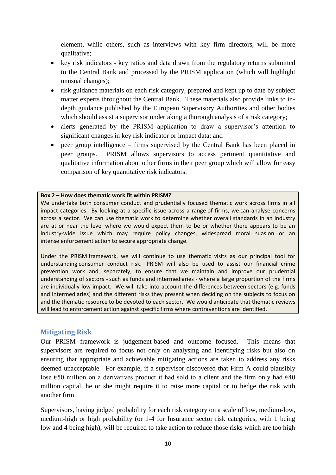element, while others, such as interviews with key firm directors, will be more qualitative;

- key risk indicators key ratios and data drawn from the regulatory returns submitted to the Central Bank and processed by the PRISM application (which will highlight unusual changes);
- risk guidance materials on each risk category, prepared and kept up to date by subject matter experts throughout the Central Bank. These materials also provide links to indepth guidance published by the European Supervisory Authorities and other bodies which should assist a supervisor undertaking a thorough analysis of a risk category;
- alerts generated by the PRISM application to draw a supervisor's attention to significant changes in key risk indicator or impact data; and
- peer group intelligence firms supervised by the Central Bank has been placed in peer groups. PRISM allows supervisors to access pertinent quantitative and qualitative information about other firms in their peer group which will allow for easy comparison of key quantitative risk indicators.

#### **Box 2 – How does thematic work fit within PRISM?**

We undertake both consumer conduct and prudentially focused thematic work across firms in all impact categories. By looking at a specific issue across a range of firms, we can analyse concerns across a sector. We can use thematic work to determine whether overall standards in an industry are at or near the level where we would expect them to be or whether there appears to be an industry-wide issue which may require policy changes, widespread moral suasion or an intense enforcement action to secure appropriate change.

Under the PRISM framework, we will continue to use thematic visits as our principal tool for understanding consumer conduct risk. PRISM will also be used to assist our financial crime prevention work and, separately, to ensure that we maintain and improve our prudential understanding of sectors - such as funds and intermediaries - where a large proportion of the firms are individually low impact. We will take into account the differences between sectors (e.g. funds and intermediaries) and the different risks they present when deciding on the subjects to focus on and the thematic resource to be devoted to each sector. We would anticipate that thematic reviews will lead to enforcement action against specific firms where contraventions are identified.

## **Mitigating Risk**

Our PRISM framework is judgement-based and outcome focused. This means that supervisors are required to focus not only on analysing and identifying risks but also on ensuring that appropriate and achievable mitigating actions are taken to address any risks deemed unacceptable. For example, if a supervisor discovered that Firm A could plausibly lose  $\epsilon$ 50 million on a derivatives product it had sold to a client and the firm only had  $\epsilon$ 40 million capital, he or she might require it to raise more capital or to hedge the risk with another firm.

Supervisors, having judged probability for each risk category on a scale of low, medium-low, medium-high or high probability (or 1-4 for Insurance sector risk categories, with 1 being low and 4 being high), will be required to take action to reduce those risks which are too high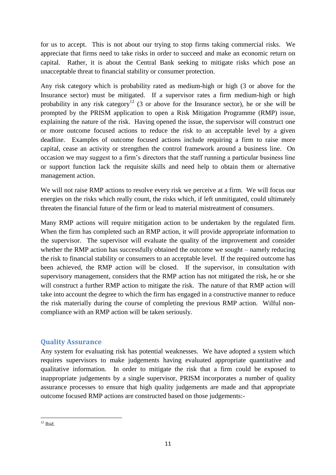for us to accept. This is not about our trying to stop firms taking commercial risks. We appreciate that firms need to take risks in order to succeed and make an economic return on capital. Rather, it is about the Central Bank seeking to mitigate risks which pose an unacceptable threat to financial stability or consumer protection.

Any risk category which is probability rated as medium-high or high (3 or above for the Insurance sector) must be mitigated. If a supervisor rates a firm medium-high or high probability in any risk category<sup>12</sup> (3 or above for the Insurance sector), he or she will be prompted by the PRISM application to open a Risk Mitigation Programme (RMP) issue, explaining the nature of the risk. Having opened the issue, the supervisor will construct one or more outcome focused actions to reduce the risk to an acceptable level by a given deadline. Examples of outcome focused actions include requiring a firm to raise more capital, cease an activity or strengthen the control framework around a business line. On occasion we may suggest to a firm's directors that the staff running a particular business line or support function lack the requisite skills and need help to obtain them or alternative management action.

We will not raise RMP actions to resolve every risk we perceive at a firm. We will focus our energies on the risks which really count, the risks which, if left unmitigated, could ultimately threaten the financial future of the firm or lead to material mistreatment of consumers.

Many RMP actions will require mitigation action to be undertaken by the regulated firm. When the firm has completed such an RMP action, it will provide appropriate information to the supervisor. The supervisor will evaluate the quality of the improvement and consider whether the RMP action has successfully obtained the outcome we sought – namely reducing the risk to financial stability or consumers to an acceptable level. If the required outcome has been achieved, the RMP action will be closed. If the supervisor, in consultation with supervisory management, considers that the RMP action has not mitigated the risk, he or she will construct a further RMP action to mitigate the risk. The nature of that RMP action will take into account the degree to which the firm has engaged in a constructive manner to reduce the risk materially during the course of completing the previous RMP action. Wilful noncompliance with an RMP action will be taken seriously.

# **Quality Assurance**

Any system for evaluating risk has potential weaknesses. We have adopted a system which requires supervisors to make judgements having evaluated appropriate quantitative and qualitative information. In order to mitigate the risk that a firm could be exposed to inappropriate judgements by a single supervisor, PRISM incorporates a number of quality assurance processes to ensure that high quality judgements are made and that appropriate outcome focused RMP actions are constructed based on those judgements:-

**<sup>.</sup>**  $12$  Ibid.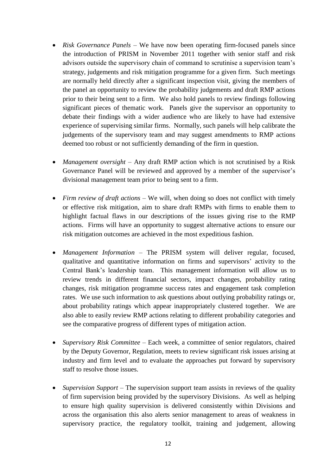- *Risk Governance Panels –* We have now been operating firm-focused panels since the introduction of PRISM in November 2011 together with senior staff and risk advisors outside the supervisory chain of command to scrutinise a supervision team's strategy, judgements and risk mitigation programme for a given firm. Such meetings are normally held directly after a significant inspection visit, giving the members of the panel an opportunity to review the probability judgements and draft RMP actions prior to their being sent to a firm. We also hold panels to review findings following significant pieces of thematic work. Panels give the supervisor an opportunity to debate their findings with a wider audience who are likely to have had extensive experience of supervising similar firms. Normally, such panels will help calibrate the judgements of the supervisory team and may suggest amendments to RMP actions deemed too robust or not sufficiently demanding of the firm in question.
- *Management oversight –* Any draft RMP action which is not scrutinised by a Risk Governance Panel will be reviewed and approved by a member of the supervisor's divisional management team prior to being sent to a firm.
- *Firm review of draft actions –* We will, when doing so does not conflict with timely or effective risk mitigation, aim to share draft RMPs with firms to enable them to highlight factual flaws in our descriptions of the issues giving rise to the RMP actions. Firms will have an opportunity to suggest alternative actions to ensure our risk mitigation outcomes are achieved in the most expeditious fashion.
- *Management Information –* The PRISM system will deliver regular, focused, qualitative and quantitative information on firms and supervisors' activity to the Central Bank's leadership team. This management information will allow us to review trends in different financial sectors, impact changes, probability rating changes, risk mitigation programme success rates and engagement task completion rates. We use such information to ask questions about outlying probability ratings or, about probability ratings which appear inappropriately clustered together. We are also able to easily review RMP actions relating to different probability categories and see the comparative progress of different types of mitigation action.
- *Supervisory Risk Committee –* Each week, a committee of senior regulators, chaired by the Deputy Governor, Regulation, meets to review significant risk issues arising at industry and firm level and to evaluate the approaches put forward by supervisory staff to resolve those issues.
- *Supervision Support –* The supervision support team assists in reviews of the quality of firm supervision being provided by the supervisory Divisions. As well as helping to ensure high quality supervision is delivered consistently within Divisions and across the organisation this also alerts senior management to areas of weakness in supervisory practice, the regulatory toolkit, training and judgement, allowing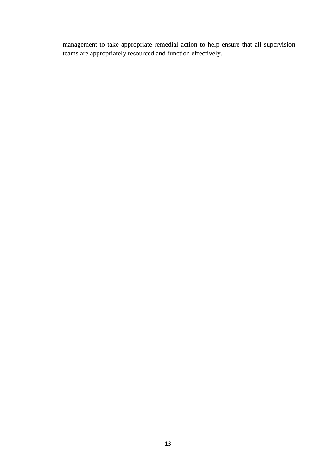management to take appropriate remedial action to help ensure that all supervision teams are appropriately resourced and function effectively.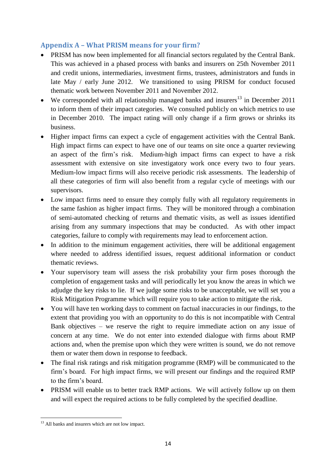# **Appendix A – What PRISM means for your firm?**

- PRISM has now been implemented for all financial sectors regulated by the Central Bank. This was achieved in a phased process with banks and insurers on 25th November 2011 and credit unions, intermediaries, investment firms, trustees, administrators and funds in late May / early June 2012. We transitioned to using PRISM for conduct focused thematic work between November 2011 and November 2012.
- We corresponded with all relationship managed banks and insurers<sup>13</sup> in December 2011 to inform them of their impact categories. We consulted publicly on which metrics to use in December 2010. The impact rating will only change if a firm grows or shrinks its business.
- Higher impact firms can expect a cycle of engagement activities with the Central Bank. High impact firms can expect to have one of our teams on site once a quarter reviewing an aspect of the firm's risk. Medium-high impact firms can expect to have a risk assessment with extensive on site investigatory work once every two to four years. Medium-low impact firms will also receive periodic risk assessments. The leadership of all these categories of firm will also benefit from a regular cycle of meetings with our supervisors.
- Low impact firms need to ensure they comply fully with all regulatory requirements in the same fashion as higher impact firms. They will be monitored through a combination of semi-automated checking of returns and thematic visits, as well as issues identified arising from any summary inspections that may be conducted. As with other impact categories, failure to comply with requirements may lead to enforcement action.
- In addition to the minimum engagement activities, there will be additional engagement where needed to address identified issues, request additional information or conduct thematic reviews.
- Your supervisory team will assess the risk probability your firm poses thorough the completion of engagement tasks and will periodically let you know the areas in which we adjudge the key risks to lie. If we judge some risks to be unacceptable, we will set you a Risk Mitigation Programme which will require you to take action to mitigate the risk.
- You will have ten working days to comment on factual inaccuracies in our findings, to the extent that providing you with an opportunity to do this is not incompatible with Central Bank objectives – we reserve the right to require immediate action on any issue of concern at any time. We do not enter into extended dialogue with firms about RMP actions and, when the premise upon which they were written is sound, we do not remove them or water them down in response to feedback.
- The final risk ratings and risk mitigation programme (RMP) will be communicated to the firm's board. For high impact firms, we will present our findings and the required RMP to the firm's board.
- PRISM will enable us to better track RMP actions. We will actively follow up on them and will expect the required actions to be fully completed by the specified deadline.

**<sup>.</sup>**  $13$  All banks and insurers which are not low impact.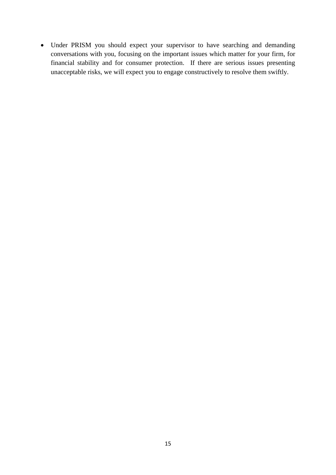Under PRISM you should expect your supervisor to have searching and demanding conversations with you, focusing on the important issues which matter for your firm, for financial stability and for consumer protection. If there are serious issues presenting unacceptable risks, we will expect you to engage constructively to resolve them swiftly.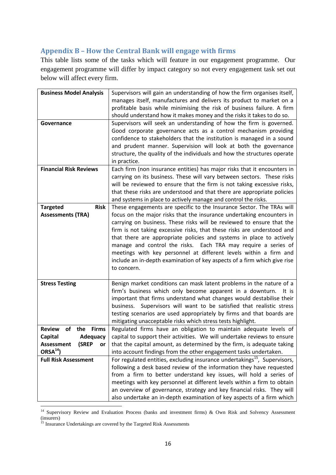# **Appendix B – How the Central Bank will engage with firms**

This table lists some of the tasks which will feature in our engagement programme. Our engagement programme will differ by impact category so not every engagement task set out below will affect every firm.

| <b>Business Model Analysis</b>             | Supervisors will gain an understanding of how the firm organises itself,              |
|--------------------------------------------|---------------------------------------------------------------------------------------|
|                                            | manages itself, manufactures and delivers its product to market on a                  |
|                                            | profitable basis while minimising the risk of business failure. A firm                |
|                                            | should understand how it makes money and the risks it takes to do so.                 |
| Governance                                 | Supervisors will seek an understanding of how the firm is governed.                   |
|                                            | Good corporate governance acts as a control mechanism providing                       |
|                                            | confidence to stakeholders that the institution is managed in a sound                 |
|                                            | and prudent manner. Supervision will look at both the governance                      |
|                                            | structure, the quality of the individuals and how the structures operate              |
|                                            |                                                                                       |
| <b>Financial Risk Reviews</b>              | in practice.                                                                          |
|                                            | Each firm (non insurance entities) has major risks that it encounters in              |
|                                            | carrying on its business. These will vary between sectors. These risks                |
|                                            | will be reviewed to ensure that the firm is not taking excessive risks,               |
|                                            | that these risks are understood and that there are appropriate policies               |
|                                            | and systems in place to actively manage and control the risks.                        |
| <b>Risk</b><br><b>Targeted</b>             | These engagements are specific to the Insurance Sector. The TRAs will                 |
| <b>Assessments (TRA)</b>                   | focus on the major risks that the insurance undertaking encounters in                 |
|                                            | carrying on business. These risks will be reviewed to ensure that the                 |
|                                            | firm is not taking excessive risks, that these risks are understood and               |
|                                            | that there are appropriate policies and systems in place to actively                  |
|                                            | manage and control the risks. Each TRA may require a series of                        |
|                                            | meetings with key personnel at different levels within a firm and                     |
|                                            | include an in-depth examination of key aspects of a firm which give rise              |
|                                            | to concern.                                                                           |
|                                            |                                                                                       |
| <b>Stress Testing</b>                      | Benign market conditions can mask latent problems in the nature of a                  |
|                                            | firm's business which only become apparent in a downturn.<br>It is                    |
|                                            | important that firms understand what changes would destabilise their                  |
|                                            | Supervisors will want to be satisfied that realistic stress<br>business.              |
|                                            | testing scenarios are used appropriately by firms and that boards are                 |
|                                            | mitigating unacceptable risks which stress tests highlight.                           |
| <b>Review</b><br><b>Firms</b><br>of<br>the | Regulated firms have an obligation to maintain adequate levels of                     |
| <b>Capital</b><br><b>Adequacy</b>          | capital to support their activities. We will undertake reviews to ensure              |
| <b>Assessment</b><br>(SREP<br>or           | that the capital amount, as determined by the firm, is adequate taking                |
| ORSA <sup>14</sup>                         | into account findings from the other engagement tasks undertaken.                     |
| <b>Full Risk Assessment</b>                | For regulated entities, excluding insurance undertakings <sup>15</sup> , Supervisors, |
|                                            | following a desk based review of the information they have requested                  |
|                                            | from a firm to better understand key issues, will hold a series of                    |
|                                            | meetings with key personnel at different levels within a firm to obtain               |
|                                            | an overview of governance, strategy and key financial risks. They will                |
|                                            | also undertake an in-depth examination of key aspects of a firm which                 |

<sup>&</sup>lt;sup>14</sup> Supervisory Review and Evaluation Process (banks and investment firms) & Own Risk and Solvency Assessment (insurers)

**.** 

 $15$  Insurance Undertakings are covered by the Targeted Risk Assessments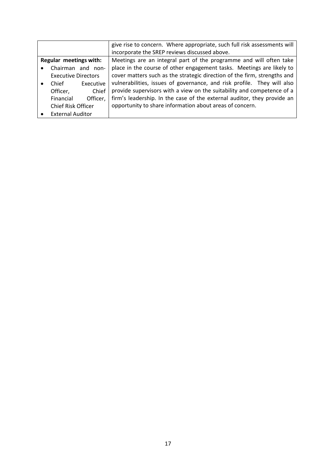|                        |                            |                   | give rise to concern. Where appropriate, such full risk assessments will |
|------------------------|----------------------------|-------------------|--------------------------------------------------------------------------|
|                        |                            |                   | incorporate the SREP reviews discussed above.                            |
| Regular meetings with: |                            |                   | Meetings are an integral part of the programme and will often take       |
|                        |                            | Chairman and non- | place in the course of other engagement tasks. Meetings are likely to    |
|                        | <b>Executive Directors</b> |                   | cover matters such as the strategic direction of the firm, strengths and |
|                        | Chief                      | Executive         | vulnerabilities, issues of governance, and risk profile. They will also  |
|                        | Officer,                   | Chief             | provide supervisors with a view on the suitability and competence of a   |
|                        | Financial                  | Officer,          | firm's leadership. In the case of the external auditor, they provide an  |
| Chief Risk Officer     |                            |                   | opportunity to share information about areas of concern.                 |
|                        | <b>External Auditor</b>    |                   |                                                                          |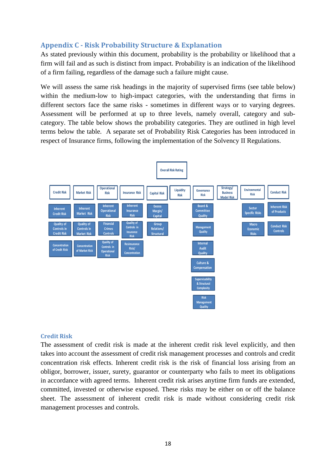# **Appendix C - Risk Probability Structure & Explanation**

As stated previously within this document, probability is the probability or likelihood that a firm will fail and as such is distinct from impact. Probability is an indication of the likelihood of a firm failing, regardless of the damage such a failure might cause.

We will assess the same risk headings in the majority of supervised firms (see table below) within the medium-low to high-impact categories, with the understanding that firms in different sectors face the same risks - sometimes in different ways or to varying degrees. Assessment will be performed at up to three levels, namely overall, category and subcategory. The table below shows the probability categories. They are outlined in high level terms below the table. A separate set of Probability Risk Categories has been introduced in respect of Insurance firms, following the implementation of the Solvency II Regulations.



#### **Credit Risk**

The assessment of credit risk is made at the inherent credit risk level explicitly, and then takes into account the assessment of credit risk management processes and controls and credit concentration risk effects. Inherent credit risk is the risk of financial loss arising from an obligor, borrower, issuer, surety, guarantor or counterparty who fails to meet its obligations in accordance with agreed terms. Inherent credit risk arises anytime firm funds are extended, committed, invested or otherwise exposed. These risks may be either on or off the balance sheet. The assessment of inherent credit risk is made without considering credit risk management processes and controls.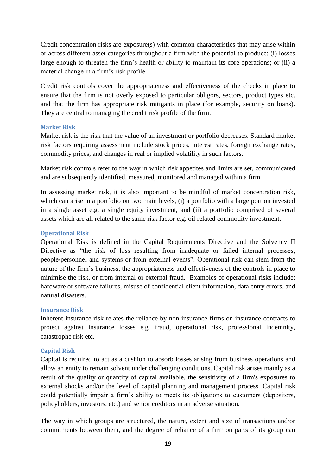Credit concentration risks are exposure(s) with common characteristics that may arise within or across different asset categories throughout a firm with the potential to produce: (i) losses large enough to threaten the firm's health or ability to maintain its core operations; or (ii) a material change in a firm's risk profile.

Credit risk controls cover the appropriateness and effectiveness of the checks in place to ensure that the firm is not overly exposed to particular obligors, sectors, product types etc. and that the firm has appropriate risk mitigants in place (for example, security on loans). They are central to managing the credit risk profile of the firm.

#### **Market Risk**

Market risk is the [risk](http://en.wikipedia.org/wiki/Risk) that the value of an investment or portfolio decreases. Standard market risk factors requiring assessment include stock prices, interest rates, foreign exchange rates, commodity prices, and changes in real or implied volatility in such factors.

Market risk controls refer to the way in which risk appetites and limits are set, communicated and are subsequently identified, measured, monitored and managed within a firm.

In assessing market risk, it is also important to be mindful of market concentration risk, which can arise in a portfolio on two main levels, (i) a portfolio with a large portion invested in a single asset e.g. a single equity investment, and (ii) a portfolio comprised of several assets which are all related to the same risk factor e.g. oil related commodity investment.

#### **Operational Risk**

Operational Risk is defined in the Capital Requirements Directive and the Solvency II Directive as "the risk of loss resulting from inadequate or failed internal processes, people/personnel and systems or from external events". Operational risk can stem from the nature of the firm's business, the appropriateness and effectiveness of the controls in place to minimise the risk, or from internal or external fraud. Examples of operational risks include: hardware or software failures, misuse of confidential client information, data entry errors, and natural disasters.

#### **Insurance Risk**

Inherent insurance risk relates the reliance by non insurance firms on insurance contracts to protect against insurance losses e.g. fraud, operational risk, professional indemnity, catastrophe risk etc.

#### **Capital Risk**

Capital is required to act as a cushion to absorb losses arising from business operations and allow an entity to remain solvent under challenging conditions. Capital risk arises mainly as a result of the quality or quantity of capital available, the sensitivity of a firm's exposures to external shocks and/or the level of capital planning and management process. Capital risk could potentially impair a firm's ability to meets its obligations to customers (depositors, policyholders, investors, etc.) and senior creditors in an adverse situation.

The way in which groups are structured, the nature, extent and size of transactions and/or commitments between them, and the degree of reliance of a firm on parts of its group can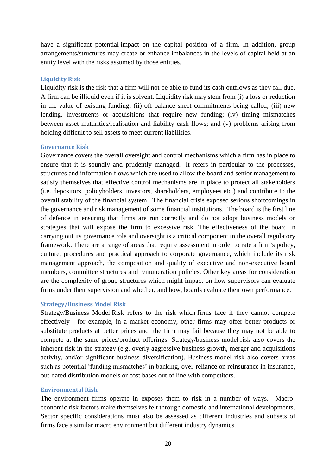have a significant potential impact on the capital position of a firm. In addition, group arrangements/structures may create or enhance imbalances in the levels of capital held at an entity level with the risks assumed by those entities.

#### **Liquidity Risk**

Liquidity risk is the risk that a firm will not be able to fund its cash outflows as they fall due. A firm can be illiquid even if it is solvent. Liquidity risk may stem from (i) a loss or reduction in the value of existing funding; (ii) off-balance sheet commitments being called; (iii) new lending, investments or acquisitions that require new funding; (iv) timing mismatches between asset maturities/realisation and liability cash flows; and (v) problems arising from holding difficult to sell assets to meet current liabilities.

# **Governance Risk**

Governance covers the overall oversight and control mechanisms which a firm has in place to ensure that it is soundly and prudently managed. It refers in particular to the processes, structures and information flows which are used to allow the board and senior management to satisfy themselves that effective control mechanisms are in place to protect all stakeholders (i.e. depositors, policyholders, investors, shareholders, employees etc.) and contribute to the overall stability of the financial system. The financial crisis exposed serious shortcomings in the governance and risk management of some financial institutions. The board is the first line of defence in ensuring that firms are run correctly and do not adopt business models or strategies that will expose the firm to excessive risk. The effectiveness of the board in carrying out its governance role and oversight is a critical component in the overall regulatory framework. There are a range of areas that require assessment in order to rate a firm's policy, culture, procedures and practical approach to corporate governance, which include its risk management approach, the composition and quality of executive and non-executive board members, committee structures and remuneration policies. Other key areas for consideration are the complexity of group structures which might impact on how supervisors can evaluate firms under their supervision and whether, and how, boards evaluate their own performance.

#### **Strategy/Business Model Risk**

Strategy/Business Model Risk refers to the risk which firms face if they cannot compete effectively – for example, in a market economy, other firms may offer better products or substitute products at better prices and the firm may fail because they may not be able to compete at the same prices/product offerings. Strategy/business model risk also covers the inherent risk in the strategy (e.g. overly aggressive business growth, merger and acquisitions activity, and/or significant business diversification). Business model risk also covers areas such as potential 'funding mismatches' in banking, over-reliance on reinsurance in insurance, out-dated distribution models or cost bases out of line with competitors.

#### **Environmental Risk**

The environment firms operate in exposes them to risk in a number of ways. Macroeconomic risk factors make themselves felt through domestic and international developments. Sector specific considerations must also be assessed as different industries and subsets of firms face a similar macro environment but different industry dynamics.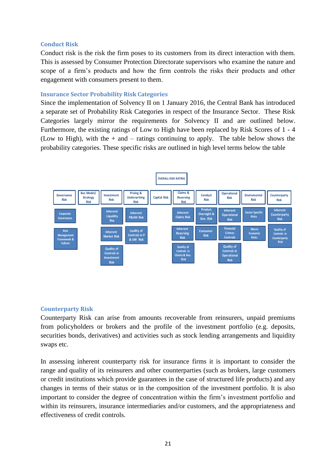#### **Conduct Risk**

Conduct risk is the risk the firm poses to its customers from its direct interaction with them. This is assessed by Consumer Protection Directorate supervisors who examine the nature and scope of a firm's products and how the firm controls the risks their products and other engagement with consumers present to them.

#### **Insurance Sector Probability Risk Categories**

Since the implementation of Solvency II on 1 January 2016, the Central Bank has introduced a separate set of Probability Risk Categories in respect of the Insurance Sector. These Risk Categories largely mirror the requirements for Solvency II and are outlined below. Furthermore, the existing ratings of Low to High have been replaced by Risk Scores of 1 - 4 (Low to High), with the  $+$  and  $-$  ratings continuing to apply. The table below shows the probability categories. These specific risks are outlined in high level terms below the table



#### **Counterparty Risk**

Counterparty Risk can arise from amounts recoverable from reinsurers, unpaid premiums from policyholders or brokers and the profile of the investment portfolio (e.g. deposits, securities bonds, derivatives) and activities such as stock lending arrangements and liquidity swaps etc.

In assessing inherent counterparty risk for insurance firms it is important to consider the range and quality of its reinsurers and other counterparties (such as brokers, large customers or credit institutions which provide guarantees in the case of structured life products) and any changes in terms of their status or in the composition of the investment portfolio. It is also important to consider the degree of concentration within the firm's investment portfolio and within its reinsurers, insurance intermediaries and/or customers, and the appropriateness and effectiveness of credit controls.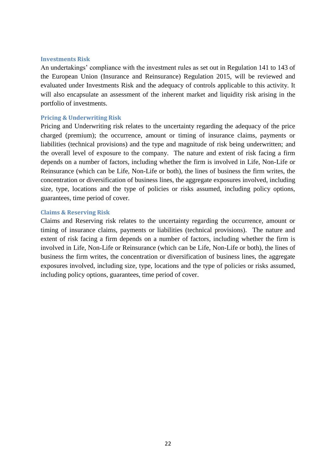#### **Investments Risk**

An undertakings' compliance with the investment rules as set out in Regulation 141 to 143 of the European Union (Insurance and Reinsurance) Regulation 2015, will be reviewed and evaluated under Investments Risk and the adequacy of controls applicable to this activity. It will also encapsulate an assessment of the inherent market and liquidity risk arising in the portfolio of investments.

#### **Pricing & Underwriting Risk**

Pricing and Underwriting risk relates to the uncertainty regarding the adequacy of the price charged (premium); the occurrence, amount or timing of insurance claims, payments or liabilities (technical provisions) and the type and magnitude of risk being underwritten; and the overall level of exposure to the company. The nature and extent of risk facing a firm depends on a number of factors, including whether the firm is involved in Life, Non-Life or Reinsurance (which can be Life, Non-Life or both), the lines of business the firm writes, the concentration or diversification of business lines, the aggregate exposures involved, including size, type, locations and the type of policies or risks assumed, including policy options, guarantees, time period of cover.

#### **Claims & Reserving Risk**

Claims and Reserving risk relates to the uncertainty regarding the occurrence, amount or timing of insurance claims, payments or liabilities (technical provisions). The nature and extent of risk facing a firm depends on a number of factors, including whether the firm is involved in Life, Non-Life or Reinsurance (which can be Life, Non-Life or both), the lines of business the firm writes, the concentration or diversification of business lines, the aggregate exposures involved, including size, type, locations and the type of policies or risks assumed, including policy options, guarantees, time period of cover.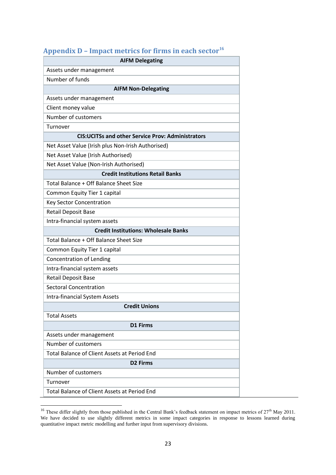| Appendix D – hipact med ics for hi ms in each sector<br><b>AIFM Delegating</b> |
|--------------------------------------------------------------------------------|
| Assets under management                                                        |
| Number of funds                                                                |
| <b>AIFM Non-Delegating</b>                                                     |
| Assets under management                                                        |
| Client money value                                                             |
| Number of customers                                                            |
| Turnover                                                                       |
| <b>CIS: UCITSs and other Service Prov: Administrators</b>                      |
| Net Asset Value (Irish plus Non-Irish Authorised)                              |
| Net Asset Value (Irish Authorised)                                             |
| Net Asset Value (Non-Irish Authorised)                                         |
| <b>Credit Institutions Retail Banks</b>                                        |
| Total Balance + Off Balance Sheet Size                                         |
| Common Equity Tier 1 capital                                                   |
| <b>Key Sector Concentration</b>                                                |
| <b>Retail Deposit Base</b>                                                     |
| Intra-financial system assets                                                  |
| <b>Credit Institutions: Wholesale Banks</b>                                    |
| Total Balance + Off Balance Sheet Size                                         |
| Common Equity Tier 1 capital                                                   |
| <b>Concentration of Lending</b>                                                |
| Intra-financial system assets                                                  |
| <b>Retail Deposit Base</b>                                                     |
| <b>Sectoral Concentration</b>                                                  |
| <b>Intra-financial System Assets</b>                                           |
| <b>Credit Unions</b>                                                           |
| <b>Total Assets</b>                                                            |
| <b>D1 Firms</b>                                                                |
| Assets under management                                                        |
| Number of customers                                                            |
| Total Balance of Client Assets at Period End                                   |
| <b>D2 Firms</b>                                                                |
| Number of customers                                                            |
| Turnover                                                                       |
| Total Balance of Client Assets at Period End                                   |

# **Appendix D – Impact metrics for firms in each sector<sup>16</sup>**

**.** 

<sup>&</sup>lt;sup>16</sup> These differ slightly from those published in the Central Bank's feedback statement on impact metrics of  $27<sup>th</sup>$  May 2011. We have decided to use slightly different metrics in some impact categories in response to lessons learned during quantitative impact metric modelling and further input from supervisory divisions.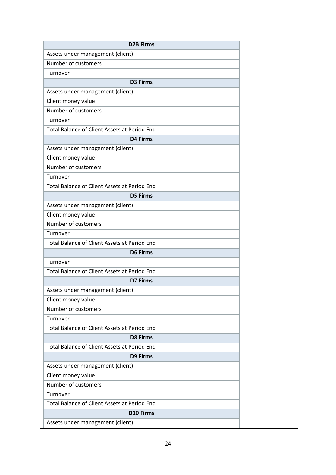| <b>D2B Firms</b>                                    |
|-----------------------------------------------------|
| Assets under management (client)                    |
| Number of customers                                 |
| Turnover                                            |
| <b>D3 Firms</b>                                     |
| Assets under management (client)                    |
| Client money value                                  |
| Number of customers                                 |
| Turnover                                            |
| Total Balance of Client Assets at Period End        |
| <b>D4 Firms</b>                                     |
| Assets under management (client)                    |
| Client money value                                  |
| Number of customers                                 |
| Turnover                                            |
| Total Balance of Client Assets at Period End        |
| <b>D5 Firms</b>                                     |
| Assets under management (client)                    |
| Client money value                                  |
| Number of customers                                 |
| Turnover                                            |
| <b>Total Balance of Client Assets at Period End</b> |
| <b>D6 Firms</b>                                     |
| Turnover                                            |
| Total Balance of Client Assets at Period End        |
| D7 Firms                                            |
| Assets under management (client)                    |
| Client money value                                  |
| Number of customers                                 |
| Turnover                                            |
| Total Balance of Client Assets at Period End        |
| <b>D8 Firms</b>                                     |
| <b>Total Balance of Client Assets at Period End</b> |
| <b>D9 Firms</b>                                     |
| Assets under management (client)                    |
| Client money value                                  |
| Number of customers                                 |
| Turnover                                            |
| Total Balance of Client Assets at Period End        |
| <b>D10 Firms</b>                                    |
| Assets under management (client)                    |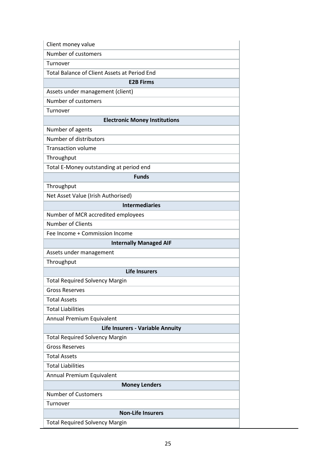| Client money value                           |
|----------------------------------------------|
| Number of customers                          |
| Turnover                                     |
| Total Balance of Client Assets at Period End |
| <b>E2B Firms</b>                             |
| Assets under management (client)             |
| Number of customers                          |
| Turnover                                     |
| <b>Electronic Money Institutions</b>         |
| Number of agents                             |
| Number of distributors                       |
| <b>Transaction volume</b>                    |
| Throughput                                   |
| Total E-Money outstanding at period end      |
| <b>Funds</b>                                 |
| Throughput                                   |
| Net Asset Value (Irish Authorised)           |
| <b>Intermediaries</b>                        |
| Number of MCR accredited employees           |
| Number of Clients                            |
| Fee Income + Commission Income               |
| <b>Internally Managed AIF</b>                |
| Assets under management                      |
| Throughput                                   |
| <b>Life Insurers</b>                         |
| <b>Total Required Solvency Margin</b>        |
| <b>Gross Reserves</b>                        |
| <b>Total Assets</b>                          |
| <b>Total Liabilities</b>                     |
| Annual Premium Equivalent                    |
| Life Insurers - Variable Annuity             |
| <b>Total Required Solvency Margin</b>        |
| <b>Gross Reserves</b>                        |
| <b>Total Assets</b>                          |
| <b>Total Liabilities</b>                     |
| Annual Premium Equivalent                    |
| <b>Money Lenders</b>                         |
| <b>Number of Customers</b>                   |
| Turnover                                     |
| <b>Non-Life Insurers</b>                     |
| <b>Total Required Solvency Margin</b>        |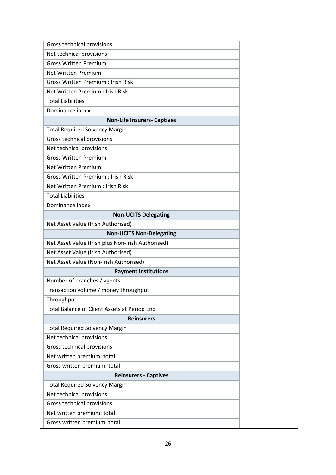| Gross technical provisions                        |
|---------------------------------------------------|
| Net technical provisions                          |
| <b>Gross Written Premium</b>                      |
| Net Written Premium                               |
| <b>Gross Written Premium: Irish Risk</b>          |
| Net Written Premium : Irish Risk                  |
| <b>Total Liabilities</b>                          |
| Dominance index                                   |
| <b>Non-Life Insurers- Captives</b>                |
| <b>Total Required Solvency Margin</b>             |
| Gross technical provisions                        |
| Net technical provisions                          |
| <b>Gross Written Premium</b>                      |
| <b>Net Written Premium</b>                        |
| <b>Gross Written Premium: Irish Risk</b>          |
| Net Written Premium : Irish Risk                  |
| <b>Total Liabilities</b>                          |
| Dominance index                                   |
| <b>Non-UCITS Delegating</b>                       |
| Net Asset Value (Irish Authorised)                |
| <b>Non-UCITS Non-Delegating</b>                   |
| Net Asset Value (Irish plus Non-Irish Authorised) |
| Net Asset Value (Irish Authorised)                |
| Net Asset Value (Non-Irish Authorised)            |
| <b>Payment Institutions</b>                       |
| Number of branches / agents                       |
| Transaction volume / money throughput             |
| Throughput                                        |
| Total Balance of Client Assets at Period End      |
| <b>Reinsurers</b>                                 |
| <b>Total Required Solvency Margin</b>             |
| Net technical provisions                          |
| Gross technical provisions                        |
| Net written premium: total                        |
| Gross written premium: total                      |
| <b>Reinsurers - Captives</b>                      |
| <b>Total Required Solvency Margin</b>             |
| Net technical provisions                          |
| Gross technical provisions                        |
| Net written premium: total                        |
| Gross written premium: total                      |